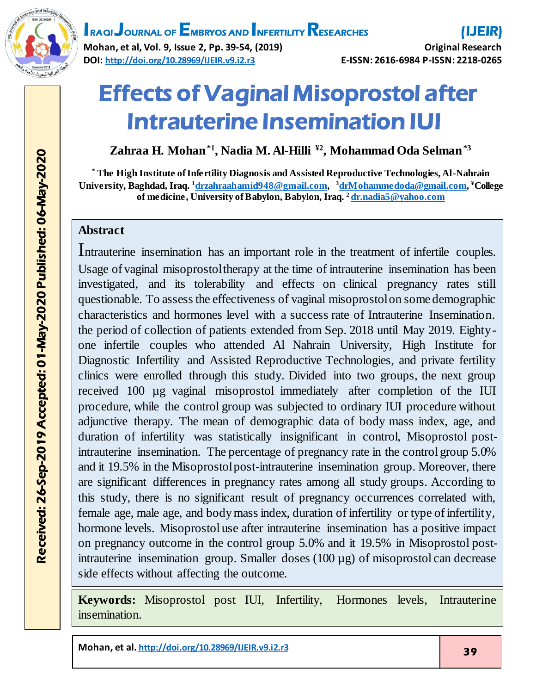

# **IRAQI JOURNAL OF EMBRYOS AND INFERTILITY RESEARCHES**

**Mohan, et al, Vol. 9, Issue 2, Pp. 39-54, (2019) Original Research DOI: <http://doi.org/10.28969/IJEIR.v9.i2.r3> E-ISSN: 2616-6984 P-ISSN: 2218-0265**

# Effects of Vaginal Misoprostol after Intrauterine Insemination IUI

**Zahraa H. Mohan\*1 , Nadia M. Al-Hilli ¥2 , Mohammad Oda Selman\*3**

**\* The High Institute of Infertility Diagnosis and Assisted Reproductive Technologies, Al-Nahrain University, Baghdad, Iraq. <sup>1</sup>[drzahraahamid948@gmail.com,](mailto:drzahraahamid948@gmail.com)  <sup>3</sup>[drMohammedoda@gmail.com](mailto:2drMohammedoda@gmail.com), ¥College of medicine, University of Babylon, Babylon, Iraq. <sup>2</sup> [dr.nadia5@yahoo.com](mailto:dr.nadia5@yahoo.com)**

#### **Abstract**

Intrauterine insemination has an important role in the treatment of infertile couples. Usage of vaginal misoprostol therapy at the time of intrauterine insemination has been investigated, and its tolerability and effects on clinical pregnancy rates still questionable. To assess the effectiveness of vaginal misoprostol on some demographic characteristics and hormones level with a success rate of Intrauterine Insemination. the period of collection of patients extended from Sep. 2018 until May 2019. Eightyone infertile couples who attended Al Nahrain University, High Institute for Diagnostic Infertility and Assisted Reproductive Technologies, and private fertility clinics were enrolled through this study. Divided into two groups, the next group received 100 µg vaginal misoprostol immediately after completion of the IUI procedure, while the control group was subjected to ordinary IUI procedure without adjunctive therapy. The mean of demographic data of body mass index, age, and duration of infertility was statistically insignificant in control, Misoprostol postintrauterine insemination. The percentage of pregnancy rate in the control group 5.0% and it 19.5% in the Misoprostol post-intrauterine insemination group. Moreover, there are significant differences in pregnancy rates among all study groups. According to this study, there is no significant result of pregnancy occurrences correlated with, female age, male age, and body mass index, duration of infertility or type of infertility, hormone levels. Misoprostol use after intrauterine insemination has a positive impact on pregnancy outcome in the control group 5.0% and it 19.5% in Misoprostol postintrauterine insemination group. Smaller doses (100 µg) of misoprostol can decrease side effects without affecting the outcome. ֖֖֖֧ׅ֖֧֚֚֚֚֚֚֚֚֚֚֚֚֚֚֚֚֚֚֚֚֚֚֚֚֚֡֝֬֝֬֝֬֝֓֬֝֬֝֬֝֓֬֝֬֝֬֝֬֝֬֝֬֝֬֝֬֝֬֝֬

**Keywords:** Misoprostol post IUI, Infertility, Hormones levels, Intrauterine insemination.

**Mohan, et al. <http://doi.org/10.28969/IJEIR.v9.i2.r3>** 39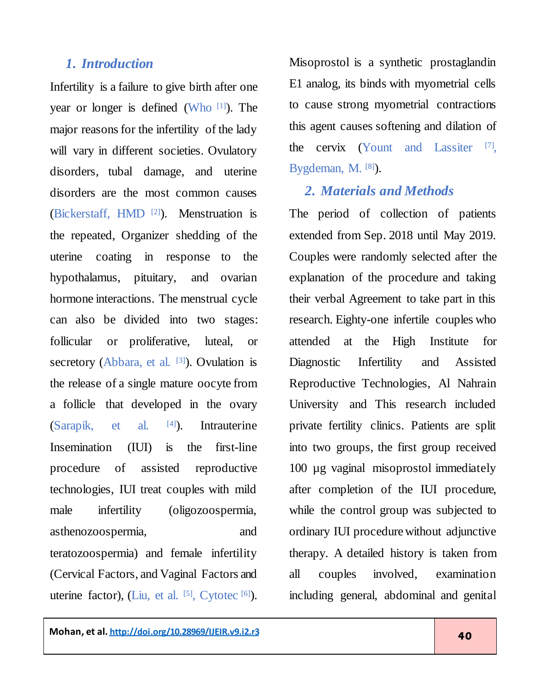#### *1. Introduction*

Infertility is a failure to give birth after one year or longer is defined (Who [\[1\]](#page-10-0) ). The major reasons for the infertility of the lady will vary in different societies. Ovulatory disorders, tubal damage, and uterine disorders are the most common causes (Bickerstaff, HMD [\[2\]](#page-10-1) ). Menstruation is the repeated, Organizer shedding of the uterine coating in response to the hypothalamus, pituitary, and ovarian hormone interactions. The menstrual cycle can also be divided into two stages: follicular or proliferative, luteal, or secretory (Abbara, et al. [\[3\]](#page-10-2)). Ovulation is the release of a single mature oocyte from a follicle that developed in the ovary  $(Sarapik,$  et al.  $[4]$ ). ). Intrauterine Insemination (IUI) is the first-line procedure of assisted reproductive technologies, IUI treat couples with mild male infertility (oligozoospermia, asthenozoospermia, and teratozoospermia) and female infertility (Cervical Factors, and Vaginal Factors and uterine factor), (Liu, et al.  $^{[5]}$  $^{[5]}$  $^{[5]}$ , Cytotec  $^{[6]}$  $^{[6]}$  $^{[6]}$ ). Misoprostol is a synthetic prostaglandin E1 analog, its binds with myometrial cells to cause strong myometrial contractions this agent causes softening and dilation of the cervix (Yount and Lassiter [\[7\]](#page-11-2) , Bygdeman, M. [\[8\]](#page-11-3)).

#### *2. Materials and Methods*

The period of collection of patients extended from Sep. 2018 until May 2019. Couples were randomly selected after the explanation of the procedure and taking their verbal Agreement to take part in this research. Eighty-one infertile couples who attended at the High Institute for Diagnostic Infertility and Assisted Reproductive Technologies, Al Nahrain University and This research included private fertility clinics. Patients are split into two groups, the first group received 100 µg vaginal misoprostol immediately after completion of the IUI procedure, while the control group was subjected to ordinary IUI procedure without adjunctive therapy. A detailed history is taken from all couples involved, examination including general, abdominal and genital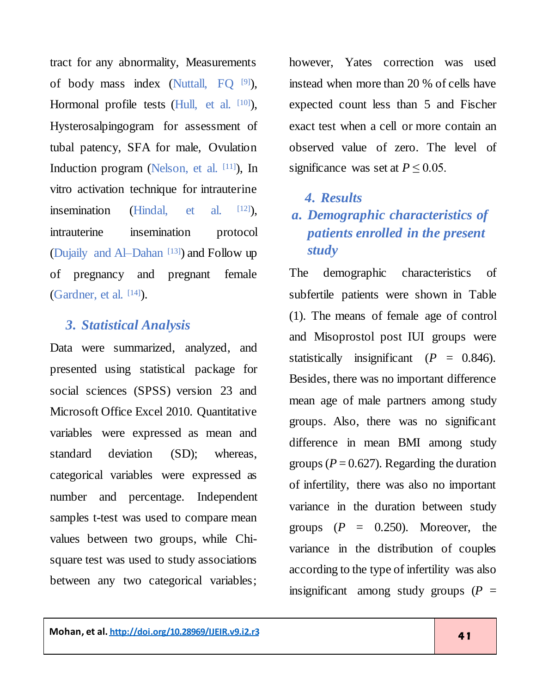tract for any abnormality, Measurements of body mass index (Nuttall, FQ [\[9\]](#page-11-4)), Hormonal profile tests (Hull, et al. [\[10\]](#page-11-5)), Hysterosalpingogram for assessment of tubal patency, SFA for male, Ovulation Induction program (Nelson, et al. [\[11\]](#page-11-6) ), In vitro activation technique for intrauterine insemination (Hindal, et al. [12]). intrauterine insemination protocol (Dujaily and Al-Dahan<sup>[\[13\]](#page-11-7)</sup>) and Follow up of pregnancy and pregnant female (Gardner, et al. [\[14\]](#page-11-8) ).

#### *3. Statistical Analysis*

Data were summarized, analyzed, and presented using statistical package for social sciences (SPSS) version 23 and Microsoft Office Excel 2010. Quantitative variables were expressed as mean and standard deviation (SD); whereas, categorical variables were expressed as number and percentage. Independent samples t-test was used to compare mean values between two groups, while Chisquare test was used to study associations between any two categorical variables;

however, Yates correction was used instead when more than 20 % of cells have expected count less than 5 and Fischer exact test when a cell or more contain an observed value of zero. The level of significance was set at  $P \le 0.05$ .

#### *4. Results*

# *a. Demographic characteristics of patients enrolled in the present study*

The demographic characteristics of subfertile patients were shown in Table (1). The means of female age of control and Misoprostol post IUI groups were statistically insignificant  $(P = 0.846)$ . Besides, there was no important difference mean age of male partners among study groups. Also, there was no significant difference in mean BMI among study groups ( $P = 0.627$ ). Regarding the duration of infertility, there was also no important variance in the duration between study groups  $(P = 0.250)$ . Moreover, the variance in the distribution of couples according to the type of infertility was also insignificant among study groups  $(P =$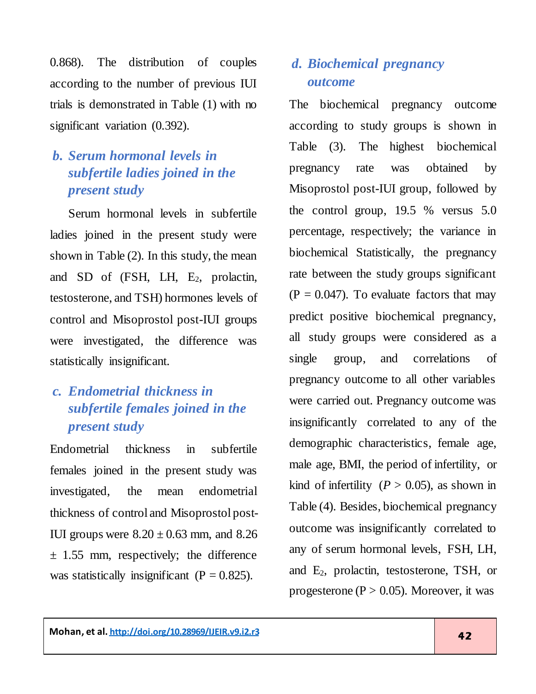0.868). The distribution of couples according to the number of previous IUI trials is demonstrated in Table (1) with no significant variation (0.392).

# *b. Serum hormonal levels in subfertile ladies joined in the present study*

 Serum hormonal levels in subfertile ladies joined in the present study were shown in Table (2). In this study, the mean and SD of  $(FSH, LH, E_2, prolactin,$ testosterone, and TSH) hormones levels of control and Misoprostol post-IUI groups were investigated, the difference was statistically insignificant.

# *c. Endometrial thickness in subfertile females joined in the present study*

Endometrial thickness in subfertile females joined in the present study was investigated, the mean endometrial thickness of control and Misoprostol post-IUI groups were  $8.20 \pm 0.63$  mm, and  $8.26$  $\pm$  1.55 mm, respectively; the difference was statistically insignificant ( $P = 0.825$ ).

# *d. Biochemical pregnancy outcome*

The biochemical pregnancy outcome according to study groups is shown in Table (3). The highest biochemical pregnancy rate was obtained by Misoprostol post-IUI group, followed by the control group, 19.5 % versus 5.0 percentage, respectively; the variance in biochemical Statistically, the pregnancy rate between the study groups significant  $(P = 0.047)$ . To evaluate factors that may predict positive biochemical pregnancy, all study groups were considered as a single group, and correlations of pregnancy outcome to all other variables were carried out. Pregnancy outcome was insignificantly correlated to any of the demographic characteristics, female age, male age, BMI, the period of infertility, or kind of infertility  $(P > 0.05)$ , as shown in Table (4). Besides, biochemical pregnancy outcome was insignificantly correlated to any of serum hormonal levels, FSH, LH, and  $E_2$ , prolactin, testosterone, TSH, or progesterone ( $P > 0.05$ ). Moreover, it was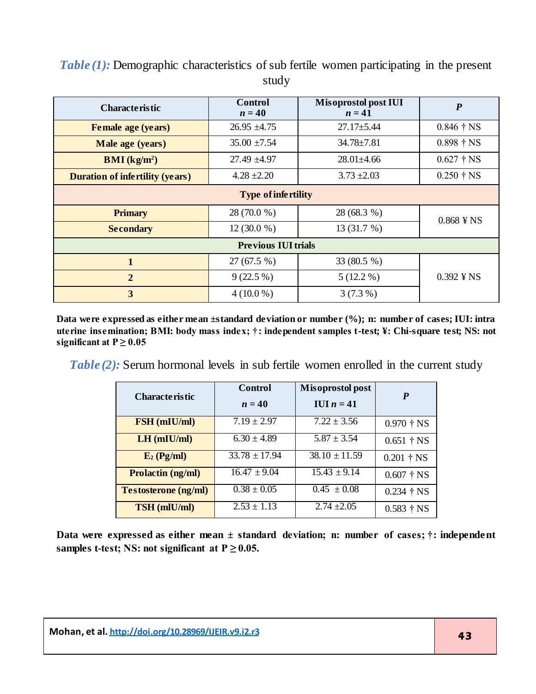| <b>Characteristic</b>                  | Control<br>$n=40$ | <b>Misoprostol post IUI</b><br>$n=41$ | $\boldsymbol{P}$                   |  |
|----------------------------------------|-------------------|---------------------------------------|------------------------------------|--|
| <b>Female age (years)</b>              | $26.95 \pm 4.75$  | $27.17 \pm 5.44$                      | $0.846 \t{+} \text{NS}$            |  |
| Male age (years)                       | $35.00 \pm 7.54$  | $34.78 \pm 7.81$                      | $0.898 \;{\rm \ddagger}\;{\rm NS}$ |  |
| $\mathbf{BMI}(\mathbf{kg/m^2})$        | $27.49 \pm 4.97$  | $28.01 \pm 4.66$                      | $0.627 \text{ † NS}$               |  |
| <b>Duration of infertility (years)</b> | $4.28 \pm 2.20$   | $3.73 \pm 2.03$                       | $0.250 \, \text{†} \, \text{NS}$   |  |
| <b>Type of infertility</b>             |                   |                                       |                                    |  |
| <b>Primary</b>                         | 28 (70.0 %)       | 28 (68.3 %)                           | $0.868$ ¥NS                        |  |
| <b>Secondary</b>                       | $12(30.0\%)$      | 13(31.7%)                             |                                    |  |
| <b>Previous IUI trials</b>             |                   |                                       |                                    |  |
| 1                                      | 27(67.5%)         | 33 (80.5 %)                           |                                    |  |
| $\overline{2}$                         | $9(22.5\%)$       | $5(12.2\%)$                           | $0.392 \text{ }$ ¥ NS              |  |
| 3                                      | $4(10.0\%)$       | $3(7.3\%)$                            |                                    |  |

*Table (1):* Demographic characteristics of sub fertile women participating in the present study

**Data were expressed as either mean ±standard deviation or number (%); n: number of cases; IUI: intra uterine insemination; BMI: body mass index; †: independent samples t-test; ¥: Chi-square test; NS: not**  significant at  $P \ge 0.05$ 

*Table (2):* Serum hormonal levels in sub fertile women enrolled in the current study

| <b>Characteristic</b>       | Control           | Misoprostol post  | $\boldsymbol{P}$                   |
|-----------------------------|-------------------|-------------------|------------------------------------|
|                             | $n=40$            | IUI $n = 41$      |                                    |
| FSH (mIU/ml)                | $7.19 \pm 2.97$   | $7.22 \pm 3.56$   | $0.970 \;{\rm \ddagger}\;{\rm NS}$ |
| $LH$ (mIU/ml)               | $6.30 \pm 4.89$   | $5.87 \pm 3.54$   | $0.651$ † NS                       |
| $E_2$ (Pg/ml)               | $33.78 \pm 17.94$ | $38.10 \pm 11.59$ | $0.201$ † NS                       |
| <b>Prolactin (ng/ml)</b>    | $16.47 \pm 9.04$  | $15.43 \pm 9.14$  | $0.607$ † NS                       |
| <b>Testosterone (ng/ml)</b> | $0.38 \pm 0.05$   | $0.45 \pm 0.08$   | $0.234$ † NS                       |
| <b>TSH</b> (mlU/ml)         | $2.53 \pm 1.13$   | $2.74 \pm 2.05$   | $0.583 \t{+} \text{NS}$            |

**Data were expressed as either mean ± standard deviation; n: number of cases; †: independent**  samples t-test; NS: not significant at  $P \ge 0.05$ .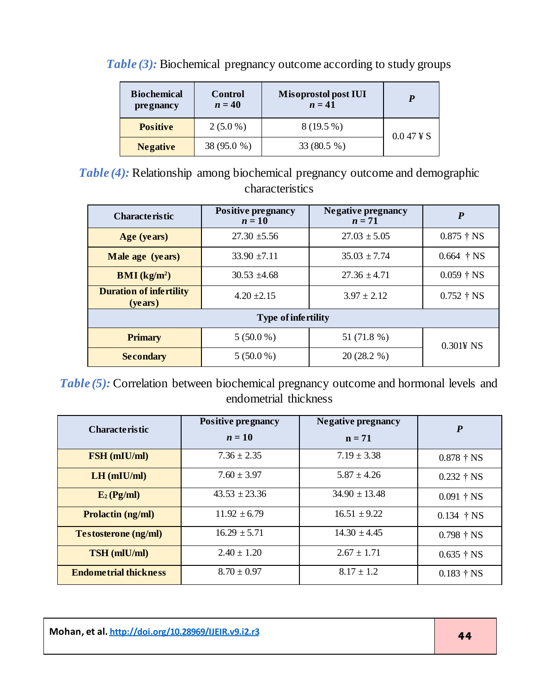| <b>Biochemical</b><br><i>pregnancy</i> | Control<br>$n=40$ | <b>Misoprostol post IUI</b><br>$n=41$ |                        |
|----------------------------------------|-------------------|---------------------------------------|------------------------|
| <b>Positive</b>                        | $2(5.0\%)$        | $8(19.5\%)$                           | $0.047 \,\text{\AA}$ S |
| <b>Negative</b>                        | 38 (95.0 %)       | 33 (80.5 %)                           |                        |

*Table* (3): Biochemical pregnancy outcome according to study groups

*Table (4):* Relationship among biochemical pregnancy outcome and demographic characteristics

| <b>Characteristic</b>                              | <b>Positive pregnancy</b><br>$n=10$ | <b>Negative pregnancy</b><br>$n=71$ | $\boldsymbol{P}$     |
|----------------------------------------------------|-------------------------------------|-------------------------------------|----------------------|
| Age (years)                                        | $27.30 \pm 5.56$                    | $27.03 \pm 5.05$                    | $0.875$ † NS         |
| Male age (years)                                   | $33.90 \pm 7.11$                    | $35.03 \pm 7.74$                    | $0.664$ † NS         |
| $\mathbf{BMI}(\mathbf{kg/m^2})$                    | $30.53 \pm 4.68$                    | $27.36 \pm 4.71$                    | $0.059 \dagger NS$   |
| <b>Duration of infertility</b><br>( <b>years</b> ) | $4.20 \pm 2.15$                     | $3.97 \pm 2.12$                     | $0.752 \text{ † NS}$ |
| <b>Type of infertility</b>                         |                                     |                                     |                      |
| <b>Primary</b>                                     | $5(50.0\%)$                         | 51 (71.8 %)                         | $0.3014$ NS          |
| <b>Secondary</b>                                   | $5(50.0\%)$                         | $20(28.2\%)$                        |                      |

*Table (5):* Correlation between biochemical pregnancy outcome and hormonal levels and endometrial thickness

| <b>Characteristic</b>        | <b>Positive pregnancy</b> | <b>Negative pregnancy</b> | $\boldsymbol{P}$                   |
|------------------------------|---------------------------|---------------------------|------------------------------------|
|                              | $n=10$                    | $n = 71$                  |                                    |
| <b>FSH</b> (mIU/ml)          | $7.36 \pm 2.35$           | $7.19 \pm 3.38$           | $0.878 \;{\rm \uparrow\, NS}$      |
| $LH$ (mIU/ml)                | $7.60 \pm 3.97$           | $5.87 \pm 4.26$           | $0.232 \t{+}$ NS                   |
| $E_2(Pg/ml)$                 | $43.53 \pm 23.36$         | $34.90 \pm 13.48$         | $0.091$ † NS                       |
| <b>Prolactin (ng/ml)</b>     | $11.92 \pm 6.79$          | $16.51 \pm 9.22$          | $0.134$ † NS                       |
| <b>Testosterone</b> (ng/ml)  | $16.29 \pm 5.71$          | $14.30 \pm 4.45$          | $0.798 \t{+} \text{NS}$            |
| <b>TSH</b> (mlU/ml)          | $2.40 \pm 1.20$           | $2.67 \pm 1.71$           | $0.635 \;{\rm \ddagger}\;{\rm NS}$ |
| <b>Endometrial thickness</b> | $8.70 \pm 0.97$           | $8.17 \pm 1.2$            | $0.183 \;{\rm{\uparrow}\; NS}$     |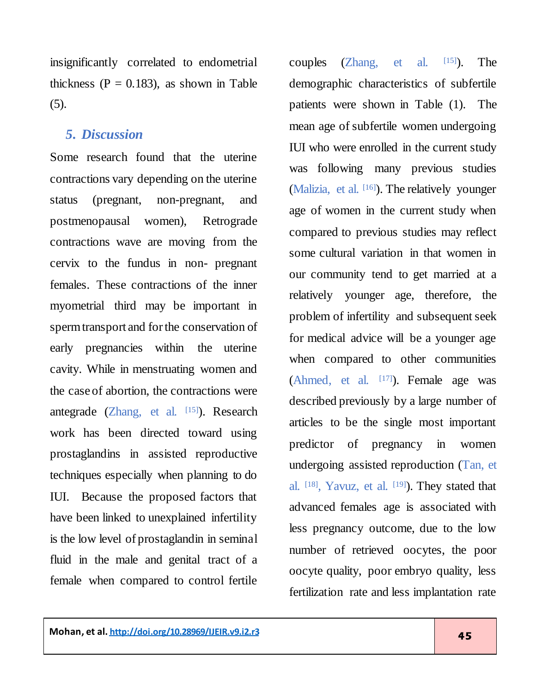insignificantly correlated to endometrial thickness ( $P = 0.183$ ), as shown in Table (5).

#### *5. Discussion*

Some research found that the uterine contractions vary depending on the uterine status (pregnant, non-pregnant, and postmenopausal women), Retrograde contractions wave are moving from the cervix to the fundus in non- pregnant females. These contractions of the inner myometrial third may be important in sperm transport and for the conservation of early pregnancies within the uterine cavity. While in menstruating women and the case of abortion, the contractions were antegrade (Zhang, et al. [\[15\]](#page-12-0)). Research work has been directed toward using prostaglandins in assisted reproductive techniques especially when planning to do IUI. Because the proposed factors that have been linked to unexplained infertility is the low level of prostaglandin in seminal fluid in the male and genital tract of a female when compared to control fertile

couples  $(Zhang, et al. [15])$  $(Zhang, et al. [15])$  $(Zhang, et al. [15])$ . ). The demographic characteristics of subfertile patients were shown in Table (1). The mean age of subfertile women undergoing IUI who were enrolled in the current study was following many previous studies (Malizia, et al. [\[16\]](#page-12-1)). The relatively younger age of women in the current study when compared to previous studies may reflect some cultural variation in that women in our community tend to get married at a relatively younger age, therefore, the problem of infertility and subsequent seek for medical advice will be a younger age when compared to other communities (Ahmed, et al. [\[17\]](#page-12-2)). Female age was described previously by a large number of articles to be the single most important predictor of pregnancy in women undergoing assisted reproduction (Tan, et al. <sup>[\[18\]](#page-12-3)</sup>, Yavuz, et al. <sup>[\[19\]](#page-12-4)</sup>). They stated that advanced females age is associated with less pregnancy outcome, due to the low number of retrieved oocytes, the poor oocyte quality, poor embryo quality, less fertilization rate and less implantation rate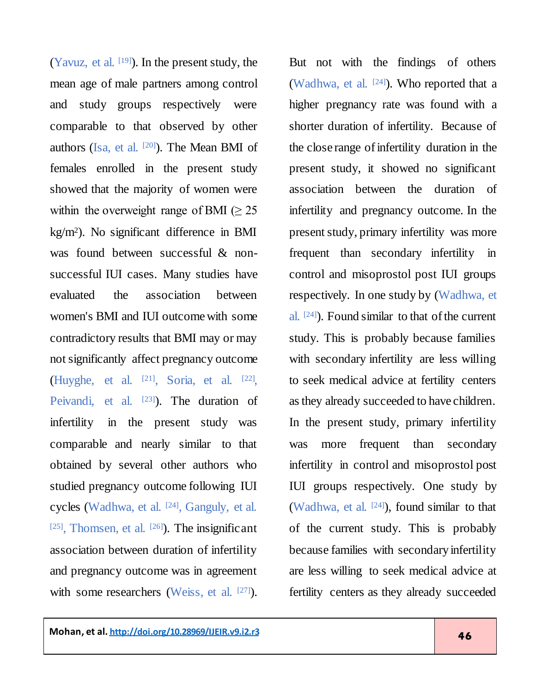(Yavuz, et al.  $[19]$ ). In the present study, the mean age of male partners among control and study groups respectively were comparable to that observed by other authors (Isa, et al. [\[20\]](#page-12-5) ). The Mean BMI of females enrolled in the present study showed that the majority of women were within the overweight range of BMI ( $\geq 25$ ) kg/m<sup>2</sup> ). No significant difference in BMI was found between successful & nonsuccessful IUI cases. Many studies have evaluated the association between women's BMI and IUI outcome with some contradictory results that BMI may or may not significantly affect pregnancy outcome (Huyghe, et al. [\[21\]](#page-12-6) , Soria, et al. [\[22\]](#page-12-7) , Peivandi, et al. <a>[\[23\]](#page-12-8)</a>). The duration of infertility in the present study was comparable and nearly similar to that obtained by several other authors who studied pregnancy outcome following IUI cycles (Wadhwa, et al. <sup>[24]</sup>, Ganguly, et al.  $[25]$ , Thomsen, et al.  $[26]$ ). The insignificant association between duration of infertility and pregnancy outcome was in agreement

with some researchers (Weiss, et al. [\[27\]](#page-13-2)).

But not with the findings of others (Wadhwa, et al. [24]). Who reported that a higher pregnancy rate was found with a shorter duration of infertility. Because of the close range of infertility duration in the present study, it showed no significant association between the duration of infertility and pregnancy outcome. In the present study, primary infertility was more frequent than secondary infertility in control and misoprostol post IUI groups respectively. In one study by (Wadhwa, et al. [24]). Found similar to that of the current study. This is probably because families with secondary infertility are less willing to seek medical advice at fertility centers as they already succeeded to have children. In the present study, primary infertility was more frequent than secondary infertility in control and misoprostol post IUI groups respectively. One study by (Wadhwa, et al. [24]), found similar to that of the current study. This is probably because families with secondary infertility are less willing to seek medical advice at fertility centers as they already succeeded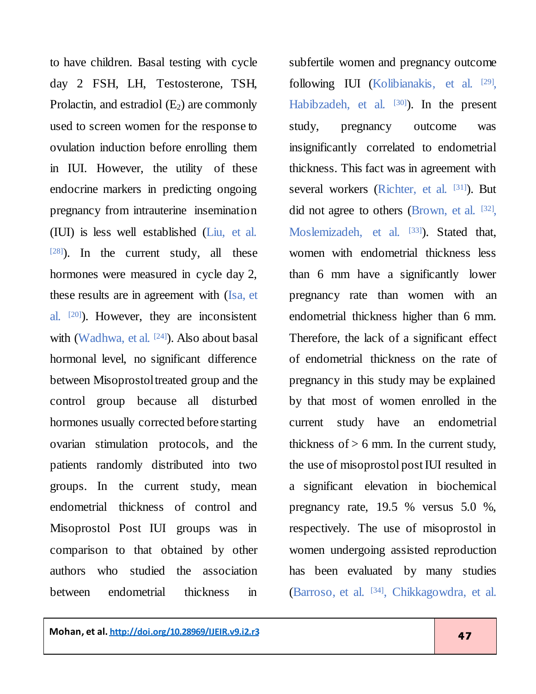to have children. Basal testing with cycle day 2 FSH, LH, Testosterone, TSH, Prolactin, and estradiol  $(E_2)$  are commonly used to screen women for the response to ovulation induction before enrolling them in IUI. However, the utility of these endocrine markers in predicting ongoing pregnancy from intrauterine insemination (IUI) is less well established (Liu, et al. [\[28\]](#page-13-3) ). In the current study, all these hormones were measured in cycle day 2, these results are in agreement with (Isa, et al. <sup>[\[20\]](#page-12-5)</sup>). However, they are inconsistent with (Wadhwa, et al. [24]). Also about basal hormonal level, no significant difference between Misoprostol treated group and the control group because all disturbed hormones usually corrected before starting ovarian stimulation protocols, and the patients randomly distributed into two groups. In the current study, mean endometrial thickness of control and Misoprostol Post IUI groups was in comparison to that obtained by other authors who studied the association between endometrial thickness in

subfertile women and pregnancy outcome following IUI (Kolibianakis, et al. <sup>[\[29\]](#page-13-4)</sup>, Habibzadeh, et al. [\[30\]](#page-13-5)). In the present study, pregnancy outcome was insignificantly correlated to endometrial thickness. This fact was in agreement with several workers (Richter, et al. [\[31\]](#page-13-6)). But did not agree to others (Brown, et al. [\[32\]](#page-14-0), Moslemizadeh, et al. [\[33\]](#page-14-1)). Stated that, women with endometrial thickness less than 6 mm have a significantly lower pregnancy rate than women with an endometrial thickness higher than 6 mm. Therefore, the lack of a significant effect of endometrial thickness on the rate of pregnancy in this study may be explained by that most of women enrolled in the current study have an endometrial thickness of  $> 6$  mm. In the current study, the use of misoprostol post IUI resulted in a significant elevation in biochemical pregnancy rate, 19.5 % versus 5.0 %, respectively. The use of misoprostol in women undergoing assisted reproduction has been evaluated by many studies (Barroso, et al. [\[34\]](#page-14-2) , Chikkagowdra, et al.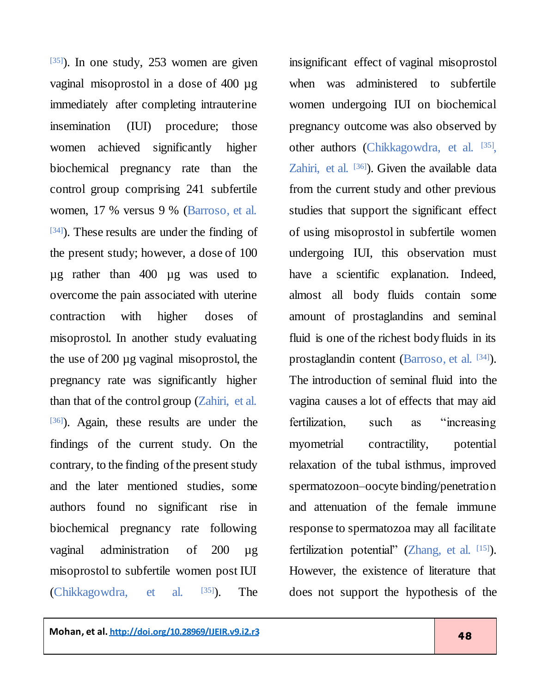[\[35\]](#page-14-3)). In one study, 253 women are given vaginal misoprostol in a dose of 400 µg immediately after completing intrauterine insemination (IUI) procedure; those women achieved significantly higher biochemical pregnancy rate than the control group comprising 241 subfertile women, 17 % versus 9 % (Barroso, et al. [\[34\]](#page-14-2) ). These results are under the finding of the present study; however, a dose of 100 µg rather than 400 µg was used to overcome the pain associated with uterine contraction with higher doses of misoprostol. In another study evaluating the use of 200 µg vaginal misoprostol, the pregnancy rate was significantly higher than that of the control group (Zahiri, et al. [\[36\]](#page-14-4) ). Again, these results are under the findings of the current study. On the contrary, to the finding of the present study and the later mentioned studies, some authors found no significant rise in biochemical pregnancy rate following vaginal administration of 200 ug misoprostol to subfertile women post IUI (Chikkagowdra, et al. [\[35\]](#page-14-3) ). The

insignificant effect of vaginal misoprostol when was administered to subfertile women undergoing IUI on biochemical pregnancy outcome was also observed by other authors (Chikkagowdra, et al. [\[35\]](#page-14-3), Zahiri, et al. [\[36\]](#page-14-4)). Given the available data from the current study and other previous studies that support the significant effect of using misoprostol in subfertile women undergoing IUI, this observation must have a scientific explanation. Indeed, almost all body fluids contain some amount of prostaglandins and seminal fluid is one of the richest body fluids in its prostaglandin content (Barroso, et al. [34]). The introduction of seminal fluid into the vagina causes a lot of effects that may aid fertilization, such as "increasing myometrial contractility, potential relaxation of the tubal isthmus, improved spermatozoon–oocyte binding/penetration and attenuation of the female immune response to spermatozoa may all facilitate fertilization potential" (Zhang, et al. [\[15\]](#page-12-0)). However, the existence of literature that does not support the hypothesis of the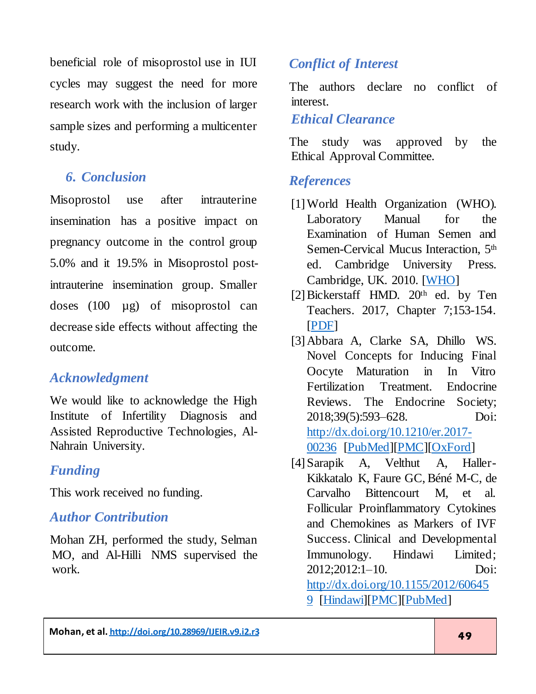beneficial role of misoprostol use in IUI cycles may suggest the need for more research work with the inclusion of larger sample sizes and performing a multicenter study.

# *6. Conclusion*

Misoprostol use after intrauterine insemination has a positive impact on pregnancy outcome in the control group 5.0% and it 19.5% in Misoprostol postintrauterine insemination group. Smaller doses (100 µg) of misoprostol can decrease side effects without affecting the outcome.

# *Acknowledgment*

We would like to acknowledge the High Institute of Infertility Diagnosis and Assisted Reproductive Technologies, Al-Nahrain University.

# *Funding*

This work received no funding.

# *Author Contribution*

Mohan ZH, performed the study, Selman MO, and Al-Hilli NMS supervised the work.

# *Conflict of Interest*

The authors declare no conflict of interest.

#### *Ethical Clearance*

The study was approved by the Ethical Approval Committee.

#### *References*

- <span id="page-10-0"></span>[1] World Health Organization (WHO). Laboratory Manual for the Examination of Human Semen and Semen-Cervical Mucus Interaction, 5<sup>th</sup> ed. Cambridge University Press. Cambridge, UK. 2010. [\[WHO\]](https://apps.who.int/iris/handle/10665/44261)
- <span id="page-10-1"></span>[2] Bickerstaff HMD. 20<sup>th</sup> ed. by Ten Teachers. 2017, Chapter 7;153-154. [\[PDF\]](http://gynecology.sbmu.ac.ir/uploads/4_5852551535380136382.pdf)
- <span id="page-10-2"></span>[3]Abbara A, Clarke SA, Dhillo WS. Novel Concepts for Inducing Final Oocyte Maturation in In Vitro Fertilization Treatment. Endocrine Reviews. The Endocrine Society; 2018;39(5):593–628. Doi: [http://dx.doi.org/10.1210/er.2017-](http://dx.doi.org/10.1210/er.2017-00236) [00236](http://dx.doi.org/10.1210/er.2017-00236) [\[PubMed\]](https://www.ncbi.nlm.nih.gov/pubmed/29982525)[\[PMC\]](https://www.ncbi.nlm.nih.gov/pmc/articles/PMC6173475/)[\[OxFord](https://academic.oup.com/edrv/article/39/5/593/5047285)]
- <span id="page-10-3"></span>[4] Sarapik A, Velthut A, Haller-Kikkatalo K, Faure GC, Béné M-C, de Carvalho Bittencourt M, et al. Follicular Proinflammatory Cytokines and Chemokines as Markers of IVF Success. Clinical and Developmental Immunology. Hindawi Limited; 2012;2012:1–10. Doi: [http://dx.doi.org/10.1155/2012/60645](http://dx.doi.org/10.1155/2012/606459) [9](http://dx.doi.org/10.1155/2012/606459) [\[Hindawi\]](https://www.hindawi.com/journals/jir/2012/606459/)[\[PMC\]](https://www.ncbi.nlm.nih.gov/pmc/articles/PMC3189459/)[\[PubMed\]](https://www.ncbi.nlm.nih.gov/pubmed/22007253)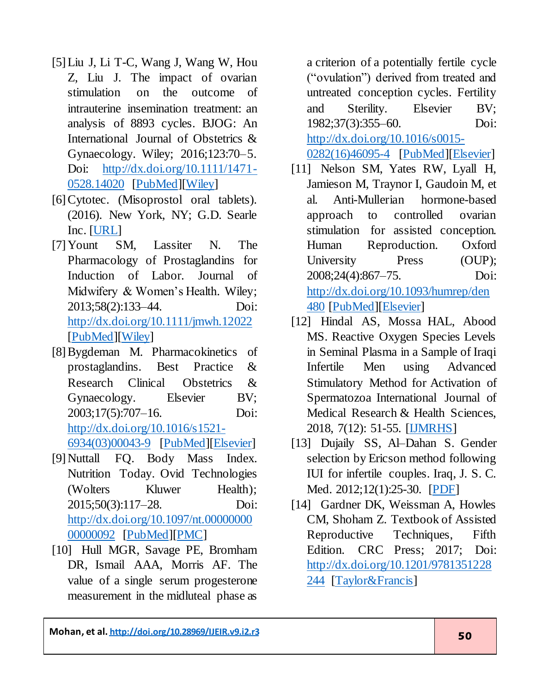- <span id="page-11-0"></span>[5]Liu J, Li T-C, Wang J, Wang W, Hou Z, Liu J. The impact of ovarian stimulation on the outcome of intrauterine insemination treatment: an analysis of 8893 cycles. BJOG: An International Journal of Obstetrics & Gynaecology. Wiley; 2016;123:70–5. Doi: [http://dx.doi.org/10.1111/1471-](http://dx.doi.org/10.1111/1471-0528.14020) [0528.14020](http://dx.doi.org/10.1111/1471-0528.14020) [\[PubMed\]](https://www.ncbi.nlm.nih.gov/pubmed/27627603)[\[Wiley\]](https://obgyn.onlinelibrary.wiley.com/doi/full/10.1111/1471-0528.14020)
- <span id="page-11-1"></span>[6] Cytotec. (Misoprostol oral tablets). (2016). New York, NY; G.D. Searle Inc. [\[URL\]](https://dailymed.nlm.nih.gov/dailymed/lookup.cfm?setid=4ab12da7-5731-4e06-bf1c-bc3f2e711f12)
- <span id="page-11-2"></span>[7]Yount SM, Lassiter N. The Pharmacology of Prostaglandins for Induction of Labor. Journal of Midwifery & Women's Health. Wiley; 2013;58(2):133–44. Doi: <http://dx.doi.org/10.1111/jmwh.12022> [\[PubMed\]](https://www.ncbi.nlm.nih.gov/pubmed/23590485)[\[Wiley\]](https://onlinelibrary.wiley.com/doi/abs/10.1111/jmwh.12022)
- <span id="page-11-3"></span>[8]Bygdeman M. Pharmacokinetics of prostaglandins. Best Practice & Research Clinical Obstetrics & Gynaecology. Elsevier BV; 2003;17(5):707–16. Doi: [http://dx.doi.org/10.1016/s1521-](http://dx.doi.org/10.1016/s1521-6934(03)00043-9) [6934\(03\)00043-9](http://dx.doi.org/10.1016/s1521-6934(03)00043-9) [\[PubMed\]](https://www.ncbi.nlm.nih.gov/pubmed/12972009)[\[Elsevier\]](https://www.sciencedirect.com/science/article/abs/pii/S1521693403000439?via%3Dihub)
- <span id="page-11-4"></span>[9]Nuttall FQ. Body Mass Index. Nutrition Today. Ovid Technologies (Wolters Kluwer Health); 2015;50(3):117–28. Doi: [http://dx.doi.org/10.1097/nt.00000000](http://dx.doi.org/10.1097/nt.0000000000000092) [00000092](http://dx.doi.org/10.1097/nt.0000000000000092) [\[PubMed\]](https://www.ncbi.nlm.nih.gov/pubmed/27340299)[\[PMC\]](https://www.ncbi.nlm.nih.gov/pmc/articles/PMC4890841/)
- <span id="page-11-5"></span>[10] Hull MGR, Savage PE, Bromham DR, Ismail AAA, Morris AF. The value of a single serum progesterone measurement in the midluteal phase as

a criterion of a potentially fertile cycle ("ovulation") derived from treated and untreated conception cycles. Fertility and Sterility. Elsevier BV; 1982;37(3):355–60. Doi: [http://dx.doi.org/10.1016/s0015-](http://dx.doi.org/10.1016/s0015-0282(16)46095-4) [0282\(16\)46095-4](http://dx.doi.org/10.1016/s0015-0282(16)46095-4) [\[PubMed\]](https://www.ncbi.nlm.nih.gov/pubmed/7060786)[\[Elsevier\]](https://www.sciencedirect.com/science/article/abs/pii/S0015028216460954?via%3Dihub)

- <span id="page-11-6"></span>[11] Nelson SM, Yates RW, Lyall H, Jamieson M, Traynor I, Gaudoin M, et al. Anti-Mullerian hormone-based approach to controlled ovarian stimulation for assisted conception. Human Reproduction. Oxford University Press (OUP); 2008;24(4):867–75. Doi: [http://dx.doi.org/10.1093/humrep/den](http://dx.doi.org/10.1093/humrep/den480) [480](http://dx.doi.org/10.1093/humrep/den480) [\[PubMed\]](https://www.ncbi.nlm.nih.gov/pubmed/15236990)[\[Elsevier\]](https://www.fertstert.org/article/S0015-0282(04)00605-3/fulltext)
- [12] Hindal AS, Mossa HAL, Abood MS. Reactive Oxygen Species Levels in Seminal Plasma in a Sample of Iraqi Infertile Men using Advanced Stimulatory Method for Activation of Spermatozoa International Journal of Medical Research & Health Sciences, 2018, 7(12): 51-55. [<u>IJMRHS</u>]
- <span id="page-11-7"></span>[13] Dujaily SS, Al–Dahan S. Gender selection by Ericson method following IUI for infertile couples. Iraq, J. S. C. Med. 2012;12(1):25-30. [\[PDF\]](http://www.iraqijms.net/upload/pdf/iraqijms56f7ab159144e.pdf)
- <span id="page-11-8"></span>[14] Gardner DK, Weissman A, Howles CM, Shoham Z. Textbook of Assisted Reproductive Techniques, Fifth Edition. CRC Press; 2017; Doi: [http://dx.doi.org/10.1201/9781351228](http://dx.doi.org/10.1201/9781351228244) [244](http://dx.doi.org/10.1201/9781351228244) [\[Taylor&Francis\]](https://www.taylorfrancis.com/books/e/9781351228244)

**Mohan, et al. <http://doi.org/10.28969/IJEIR.v9.i2.r3>** 50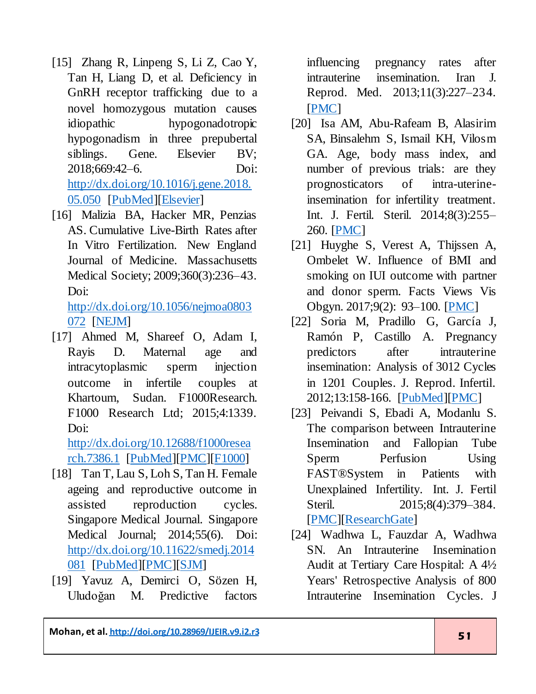- <span id="page-12-0"></span>[15] Zhang R, Linpeng S, Li Z, Cao Y, Tan H, Liang D, et al. Deficiency in GnRH receptor trafficking due to a novel homozygous mutation causes idiopathic hypogonadotropic hypogonadism in three prepubertal siblings. Gene. Elsevier BV; 2018;669:42–6. Doi: [http://dx.doi.org/10.1016/j.gene.2018.](http://dx.doi.org/10.1016/j.gene.2018.05.050) [05.050](http://dx.doi.org/10.1016/j.gene.2018.05.050) [\[PubMed\]](https://www.ncbi.nlm.nih.gov/pubmed/29777911)[\[Elsevier\]](https://www.sciencedirect.com/science/article/abs/pii/S0378111918305407?via%3Dihub)
- <span id="page-12-1"></span>[16] Malizia BA, Hacker MR, Penzias AS. Cumulative Live-Birth Rates after In Vitro Fertilization. New England Journal of Medicine. Massachusetts Medical Society; 2009;360(3):236–43. Doi:

[http://dx.doi.org/10.1056/nejmoa0803](http://dx.doi.org/10.1056/nejmoa0803072) [072](http://dx.doi.org/10.1056/nejmoa0803072) [\[NEJM\]](https://www.nejm.org/doi/full/10.1056/NEJMoa0803072)

<span id="page-12-2"></span>[17] Ahmed M, Shareef O, Adam I, Rayis D. Maternal age and intracytoplasmic sperm injection outcome in infertile couples at Khartoum, Sudan. F1000Research. F1000 Research Ltd; 2015;4:1339. Doi:

[http://dx.doi.org/10.12688/f1000resea](http://dx.doi.org/10.12688/f1000research.7386.1) [rch.7386.1](http://dx.doi.org/10.12688/f1000research.7386.1) [\[PubMed\]](https://www.ncbi.nlm.nih.gov/pubmed/27347370)[\[PMC\]](https://www.ncbi.nlm.nih.gov/pmc/articles/PMC4909122/)[\[F1000\]](https://f1000research.com/articles/4-1339/v1)

- <span id="page-12-3"></span>[18] Tan T, Lau S, Loh S, Tan H. Female ageing and reproductive outcome in assisted reproduction cycles. Singapore Medical Journal. Singapore Medical Journal; 2014;55(6). Doi: [http://dx.doi.org/10.11622/smedj.2014](http://dx.doi.org/10.11622/smedj.2014081) [081](http://dx.doi.org/10.11622/smedj.2014081) [\[PubMed\]](https://www.ncbi.nlm.nih.gov/pubmed/25017405)[\[PMC\]](https://www.ncbi.nlm.nih.gov/pmc/articles/PMC4294057/)[\[SJM\]](https://sma.org.sg/UploadedImg/files/SMJ/5506/5506a2.pdf)
- <span id="page-12-4"></span>[19] Yavuz A, Demirci O, Sözen H, Uludoğan M. Predictive factors

influencing pregnancy rates after intrauterine insemination. Iran J. Reprod. Med. 2013;11(3):227–234. [\[PMC\]](https://www.ncbi.nlm.nih.gov/pmc/articles/PMC3943223/)

- <span id="page-12-5"></span>[20] Isa AM, Abu-Rafeam B, Alasirim SA, Binsalehm S, Ismail KH, Vilosm GA. Age, body mass index, and number of previous trials: are they prognosticators of intra-uterineinsemination for infertility treatment. Int. J. Fertil. Steril. 2014;8(3):255– 260. [\[PMC\]](https://www.ncbi.nlm.nih.gov/pmc/articles/PMC5707778/)
- <span id="page-12-6"></span>[21] Huyghe S, Verest A, Thijssen A, Ombelet W. Influence of BMI and smoking on IUI outcome with partner and donor sperm. Facts Views Vis Obgyn. 2017;9(2): 93–100. [\[PMC\]](https://www.ncbi.nlm.nih.gov/pmc/articles/PMC5707778/)
- <span id="page-12-7"></span>[22] Soria M, Pradillo G, García J, Ramón P, Castillo A. Pregnancy predictors after intrauterine insemination: Analysis of 3012 Cycles in 1201 Couples. J. Reprod. Infertil. 2012;13:158-166. [\[PubMed\]](https://www.ncbi.nlm.nih.gov/pubmed/23926541)[\[PMC\]](https://www.ncbi.nlm.nih.gov/pmc/articles/PMC3719352/)
- <span id="page-12-8"></span>[23] Peivandi S, Ebadi A, Modanlu S. The comparison between Intrauterine Insemination and Fallopian Tube Sperm Perfusion Using FAST®System in Patients with Unexplained Infertility. Int. J. Fertil Steril. 2015;8(4):379–384. [\[PMC\]](https://www.ncbi.nlm.nih.gov/pmc/articles/PMC4355924/)[\[ResearchGate\]](https://www.researchgate.net/publication/273700487_The_comparison_between_Intrauterine_Insemination_and_Fallopian_Tube_Sperm_Perfusion_Using_FASTRSystem_in_Patients_with_Unexplained_Infertility)
- [24] Wadhwa L, Fauzdar A, Wadhwa SN. An Intrauterine Insemination Audit at Tertiary Care Hospital: A 4½ Years' Retrospective Analysis of 800 Intrauterine Insemination Cycles. J

**Mohan, et al. <u><http://doi.org/10.28969/IJEIR.v9.i2.r3></u> 51**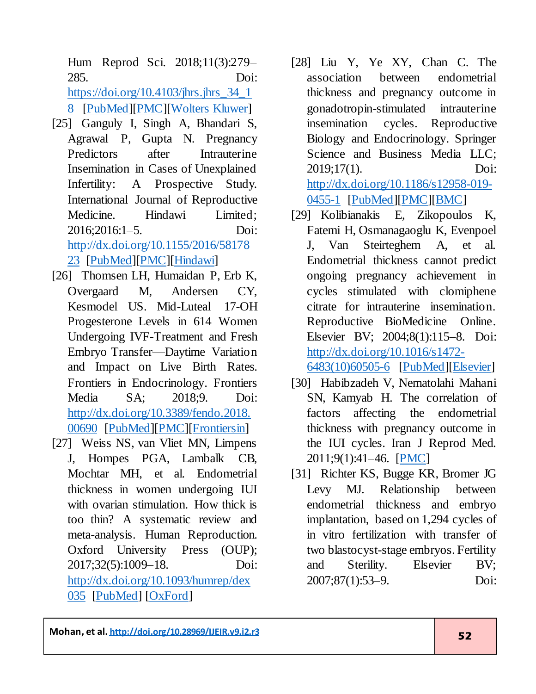Hum Reprod Sci. 2018;11(3):279– 285. Doi:

[https://doi.org/10.4103/jhrs.jhrs\\_34\\_1](https://doi.org/10.4103/jhrs.jhrs_34_18)

[8](https://doi.org/10.4103/jhrs.jhrs_34_18) [\[PubMed\]](https://www.ncbi.nlm.nih.gov/pubmed/30568359)[\[PMC\]](https://www.ncbi.nlm.nih.gov/pmc/articles/PMC6262672/)[\[Wolters Kluwer\]](http://www.jhrsonline.org/article.asp?issn=0974-1208;year=2018;volume=11;issue=3;spage=279;epage=285;aulast=Wadhwa)

- <span id="page-13-0"></span>[25] Ganguly I, Singh A, Bhandari S, Agrawal P, Gupta N. Pregnancy Predictors after Intrauterine Insemination in Cases of Unexplained Infertility: A Prospective Study. International Journal of Reproductive Medicine. Hindawi Limited; 2016;2016:1–5. Doi: [http://dx.doi.org/10.1155/2016/58178](http://dx.doi.org/10.1155/2016/5817823) [23](http://dx.doi.org/10.1155/2016/5817823) [\[PubMed\]](https://www.ncbi.nlm.nih.gov/pubmed/27738654)[\[PMC\]](https://www.ncbi.nlm.nih.gov/pmc/articles/PMC5050366/)[\[Hindawi\]](https://www.hindawi.com/journals/ijrmed/2016/5817823/)
- <span id="page-13-1"></span>[26] Thomsen LH, Humaidan P, Erb K, Overgaard M, Andersen CY, Kesmodel US. Mid-Luteal 17-OH Progesterone Levels in 614 Women Undergoing IVF-Treatment and Fresh Embryo Transfer—Daytime Variation and Impact on Live Birth Rates. Frontiers in Endocrinology. Frontiers Media SA; 2018;9. Doi: [http://dx.doi.org/10.3389/fendo.2018.](http://dx.doi.org/10.3389/fendo.2018.00690) [00690](http://dx.doi.org/10.3389/fendo.2018.00690) [\[PubMed\]](https://www.ncbi.nlm.nih.gov/pubmed/30555411)[\[PMC\]](https://www.ncbi.nlm.nih.gov/pmc/articles/PMC6282693/)[\[Frontiersin\]](https://www.frontiersin.org/articles/10.3389/fendo.2018.00690/full)
- <span id="page-13-2"></span>[27] Weiss NS, van Vliet MN, Limpens J, Hompes PGA, Lambalk CB, Mochtar MH, et al. Endometrial thickness in women undergoing IUI with ovarian stimulation. How thick is too thin? A systematic review and meta-analysis. Human Reproduction. Oxford University Press (OUP); 2017;32(5):1009–18. Doi: [http://dx.doi.org/10.1093/humrep/dex](http://dx.doi.org/10.1093/humrep/dex035) [035](http://dx.doi.org/10.1093/humrep/dex035) [\[PubMed\]](https://www.ncbi.nlm.nih.gov/pubmed/28333207) [\[OxFord\]](https://academic.oup.com/humrep/article/32/5/1009/3041134)
- <span id="page-13-3"></span>[28] Liu Y, Ye XY, Chan C. The association between endometrial thickness and pregnancy outcome in gonadotropin-stimulated intrauterine insemination cycles. Reproductive Biology and Endocrinology. Springer Science and Business Media LLC; 2019;17(1). Doi: [http://dx.doi.org/10.1186/s12958-019-](http://dx.doi.org/10.1186/s12958-019-0455-1) [0455-1](http://dx.doi.org/10.1186/s12958-019-0455-1) [\[PubMed\]](https://www.ncbi.nlm.nih.gov/pubmed/30674305)[\[PMC\]](https://www.ncbi.nlm.nih.gov/pmc/articles/PMC6345006/)[\[BMC\]](https://rbej.biomedcentral.com/articles/10.1186/s12958-019-0455-1)
- <span id="page-13-4"></span>[29] Kolibianakis E, Zikopoulos K, Fatemi H, Osmanagaoglu K, Evenpoel J, Van Steirteghem A, et al. Endometrial thickness cannot predict ongoing pregnancy achievement in cycles stimulated with clomiphene citrate for intrauterine insemination. Reproductive BioMedicine Online. Elsevier BV; 2004;8(1):115–8. Doi: [http://dx.doi.org/10.1016/s1472-](http://dx.doi.org/10.1016/s1472-6483(10)60505-6) [6483\(10\)60505-6](http://dx.doi.org/10.1016/s1472-6483(10)60505-6) [\[PubMed\]](https://www.ncbi.nlm.nih.gov/pubmed/14759299)[\[Elsevier\]](https://www.rbmojournal.com/article/S1472-6483(10)60505-6/pdf)
- <span id="page-13-5"></span>[30] Habibzadeh V, Nematolahi Mahani SN, Kamyab H. The correlation of factors affecting the endometrial thickness with pregnancy outcome in the IUI cycles. Iran J Reprod Med. 2011;9(1):41–46. [\[PMC\]](https://www.ncbi.nlm.nih.gov/pmc/articles/PMC4212145/)
- <span id="page-13-6"></span>[31] Richter KS, Bugge KR, Bromer JG Levy MJ. Relationship between endometrial thickness and embryo implantation, based on 1,294 cycles of in vitro fertilization with transfer of two blastocyst-stage embryos. Fertility and Sterility. Elsevier BV; 2007;87(1):53–9. Doi:

**Mohan, et al. <u><http://doi.org/10.28969/IJEIR.v9.i2.r3></u> 52**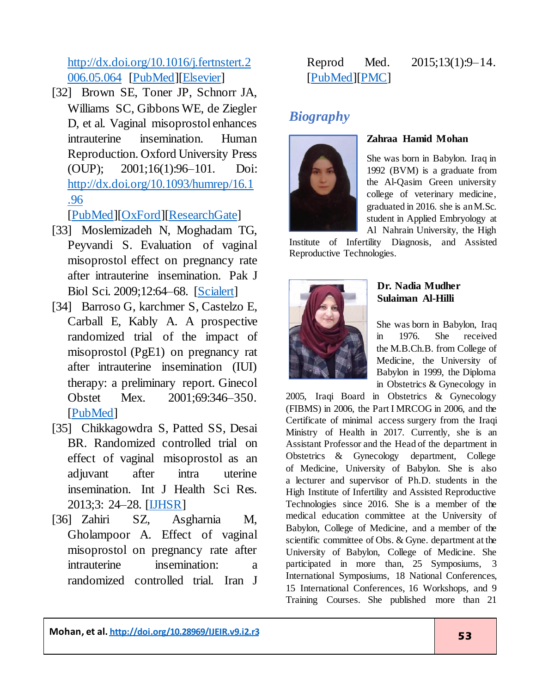[http://dx.doi.org/10.1016/j.fertnstert.2](http://dx.doi.org/10.1016/j.fertnstert.2006.05.064) [006.05.064](http://dx.doi.org/10.1016/j.fertnstert.2006.05.064) [\[PubMed\]](https://www.ncbi.nlm.nih.gov/pubmed/17081537)[\[Elsevier\]](https://www.fertstert.org/article/S0015-0282(06)03158-X/fulltext)

<span id="page-14-0"></span>[32] Brown SE, Toner JP, Schnorr JA, Williams SC, Gibbons WE, de Ziegler D, et al. Vaginal misoprostol enhances intrauterine insemination. Human Reproduction. Oxford University Press (OUP); 2001;16(1):96–101. Doi: [http://dx.doi.org/10.1093/humrep/16.1](http://dx.doi.org/10.1093/humrep/16.1.96) [.96](http://dx.doi.org/10.1093/humrep/16.1.96)

[\[PubMed\]](https://www.ncbi.nlm.nih.gov/pubmed/11139544)[\[OxFord\]](https://academic.oup.com/humrep/article/16/1/96/3113923)[\[ResearchGate](https://www.researchgate.net/publication/12188771_Vaginal_misoprostol_enhances_intrauterine_insemination)]

- <span id="page-14-1"></span>[33] Moslemizadeh N, Moghadam TG, Peyvandi S. Evaluation of vaginal misoprostol effect on pregnancy rate after intrauterine insemination. Pak J Biol Sci. 2009;12:64–68. [\[Scialert\]](https://scialert.net/fulltext/?doi=pjbs.2009.64.68)
- <span id="page-14-2"></span>[34] Barroso G, karchmer S, Castelzo E, Carball E, Kably A. A prospective randomized trial of the impact of misoprostol (PgE1) on pregnancy rat after intrauterine insemination (IUI) therapy: a preliminary report. Ginecol Obstet Mex. 2001;69:346–350. [\[PubMed\]](https://www.ncbi.nlm.nih.gov/pubmed/11816531)
- <span id="page-14-3"></span>[35] Chikkagowdra S, Patted SS, Desai BR. Randomized controlled trial on effect of vaginal misoprostol as an adjuvant after intra uterine insemination. Int J Health Sci Res. 2013;3: 24–28. [\[IJHSR\]](https://www.ijhsr.org/IJHSR_Vol.3_Issue.5_May2013/5.pdf)
- <span id="page-14-4"></span>[36] Zahiri SZ, Asgharnia M, Gholampoor A. Effect of vaginal misoprostol on pregnancy rate after intrauterine insemination: a randomized controlled trial. Iran J

#### Reprod Med. 2015;13(1):9–14. [\[PubMed\]](https://www.ncbi.nlm.nih.gov/pubmed/25653670)[\[PMC\]](https://www.ncbi.nlm.nih.gov/pmc/articles/PMC4306979/)

# *Biography*



#### **Zahraa Hamid Mohan**

She was born in Babylon. Iraq in 1992 (BVM) is a graduate from the Al-Qasim Green university college of veterinary medicine, graduated in 2016. she is anM.Sc. student in Applied Embryology at Al Nahrain University, the High

Institute of Infertility Diagnosis, and Assisted Reproductive Technologies.



#### **Dr. Nadia Mudher Sulaiman Al-Hilli**

She was born in Babylon, Iraq in 1976. She received the M.B.Ch.B. from College of Medicine, the University of Babylon in 1999, the Diploma in Obstetrics & Gynecology in

2005, Iraqi Board in Obstetrics & Gynecology (FIBMS) in 2006, the Part I MRCOG in 2006, and the Certificate of minimal access surgery from the Iraqi Ministry of Health in 2017. Currently, she is an Assistant Professor and the Head of the department in Obstetrics & Gynecology department, College of Medicine, University of Babylon. She is also a lecturer and supervisor of Ph.D. students in the High Institute of Infertility and Assisted Reproductive Technologies since 2016. She is a member of the medical education committee at the University of Babylon, College of Medicine, and a member of the scientific committee of Obs. & Gyne. department at the University of Babylon, College of Medicine. She participated in more than, 25 Symposiums, 3 International Symposiums, 18 National Conferences, 15 International Conferences, 16 Workshops, and 9 Training Courses. She published more than 21